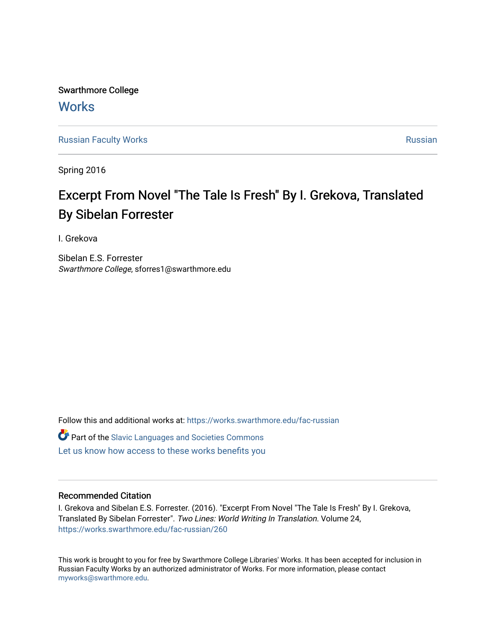Swarthmore College **Works** 

[Russian Faculty Works](https://works.swarthmore.edu/fac-russian) **Russian** [Russian](https://works.swarthmore.edu/russian) Russian Russian

Spring 2016

## Excerpt From Novel "The Tale Is Fresh" By I. Grekova, Translated By Sibelan Forrester

I. Grekova

Sibelan E.S. Forrester Swarthmore College, sforres1@swarthmore.edu

Follow this and additional works at: [https://works.swarthmore.edu/fac-russian](https://works.swarthmore.edu/fac-russian?utm_source=works.swarthmore.edu%2Ffac-russian%2F260&utm_medium=PDF&utm_campaign=PDFCoverPages) 

**C** Part of the Slavic Languages and Societies Commons

[Let us know how access to these works benefits you](https://forms.gle/4MB8mE2GywC5965J8) 

## Recommended Citation

I. Grekova and Sibelan E.S. Forrester. (2016). "Excerpt From Novel "The Tale Is Fresh" By I. Grekova, Translated By Sibelan Forrester". Two Lines: World Writing In Translation. Volume 24, <https://works.swarthmore.edu/fac-russian/260>

This work is brought to you for free by Swarthmore College Libraries' Works. It has been accepted for inclusion in Russian Faculty Works by an authorized administrator of Works. For more information, please contact [myworks@swarthmore.edu.](mailto:myworks@swarthmore.edu)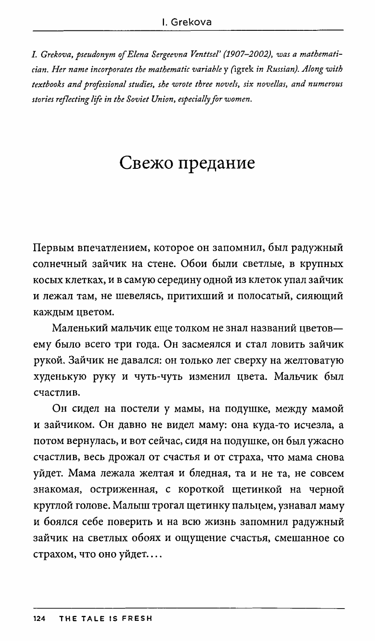*I. Grekova, pseudonym of Elena Sergeevna Venttsel' (1907-2002}, was a mathematician. Her name incorporates the mathematic variable* y (igrek *in Russian}. Along with textbooks and professional studies, she wrote three novels, six novellas, and numerous stories reflecting life in the Soviet Union, especially for women.* 

## Свежо предание

Первым впечатлением, которое он запомнил, был радужный солнечный зайчик на стене. Обои были светлые, в крупных косых клетках, и в самую середину одной из клеток упал зайчик и лежал там, не шевелясь, притихший и полосатый, сияющий каждым цветом.

Маленький мальчик еще толком не знал названий цветовему было всего три года. Он засмеялся и стал ловить зайчик рукой. Зайчик не давался: он только лег сверху на желтоватую худенькую руку и чуть-чуть изменил цвета. Мальчик был счастлив.

Он сидел на постели у мамы, на подушке, между мамой и зайчиком. Он давно не видел маму: она куда-то исчезла, а потом вернулась, и вот сейчас, сидя на подушке, он был ужасно счастлив, весь дрожал от счастья и от страха, что мама снова уйдет. Мама лежала желтая и бледная, та и не та, не совсем знакомая, остриженная, с короткой щетинкой на черной круглой голове. Малыш трогал щетинку пальцем, узнавал маму и боялся себе поверить и на всю жизнь запомнил радужный зайчик на светлых обоях и ощущение счастья, смешанное со страхом, что оно уйдет....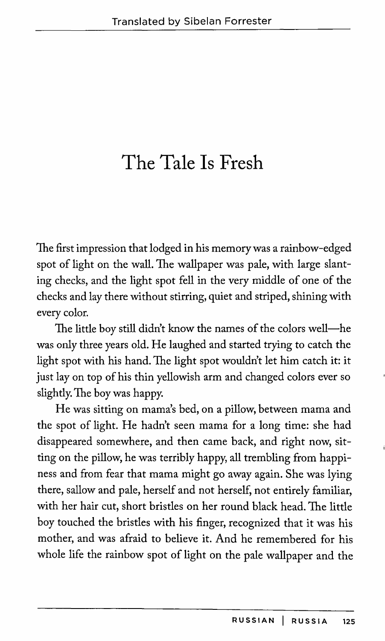## **The Tale Is Fresh**

The first impression that lodged in his memory was a rainbow-edged spot of light on the wall. The wallpaper was pale, with large slanting checks, and the light spot fell in the very middle of one of the checks and lay there without stirring, quiet and striped, shining with every color.

The little boy still didn't know the names of the colors well-he was only three years old. He laughed and started trying to catch the light spot with his hand. The light spot wouldn't let him catch it: it just lay on top of his thin yellowish arm and changed colors ever so slightly. The boy was happy.

He was sitting on mama's bed, on a pillow, between mama and the spot of light. He hadn't seen mama for a long time: she had disappeared somewhere, and then came back, and right now, sitting on the pillow, he was terribly happy, all trembling from happiness and from fear that mama might go away again. She was lying there, sallow and pale, herself and not herself, not entirely familiar, with her hair cut, short bristles on her round black head. The little boy touched the bristles with his finger, recognized that it was his mother, and was afraid to believe it. And he remembered for his whole life the rainbow spot of light on the pale wallpaper and the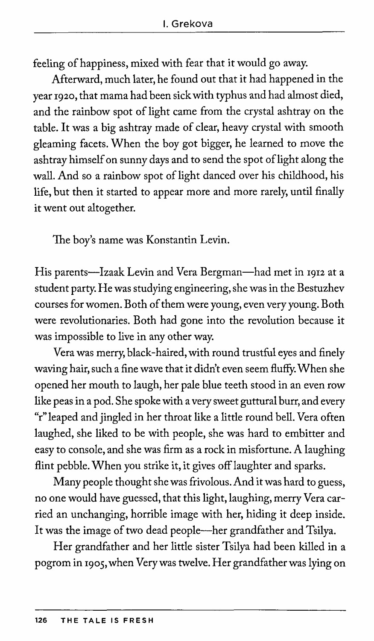feeling of happiness, mixed with fear that it would go away.

Afterward, much later, he found out that it had happened in the year 1920, that mama had been sick with typhus and had almost died, and the rainbow spot of light came from the crystal ashtray on the table. It was a big ashtray made of clear, heavy crystal with smooth gleaming facets. When the boy got bigger, he learned to move the ashtray himself on sunny days and to send the spot of light along the wall. And so a rainbow spot of light danced over his childhood, his life, but then it started to appear more and more rarely, until finally it went out altogether.

The boy's name was Konstantin Levin.

His parents-Izaak Levin and Vera Bergman-had met in 1912 at a student party. He was studying engineering, she was in the Bestuzhev courses for women. Both of them were young, even very young. Both were revolutionaries. Both had gone into the revolution because it was impossible to live in any other way.

Vera was merry, black-haired, with round trustful eyes and finely waving hair, such a fine wave that it didn't even seem fluffy. When she opened her mouth to laugh, her pale blue teeth stood in an even row like peas in a pod. She spoke with a very sweet guttural burr, and every "r" leaped and jingled in her throat like a little round bell. Vera often laughed, she liked to be with people, she was hard to embitter and easy to console, and she was firm as a rock in misfortune. A laughing flint pebble. When you strike it, it gives off laughter and sparks.

Many people thought she was frivolous. And it was hard to guess, no one would have guessed, that this light, laughing, merry Vera carried an unchanging, horrible image with her, hiding it deep inside. It was the image of two dead people—her grandfather and Tsilya.

Her grandfather and her little sister Tsilya had been killed in a pogrom in 1905, when Very was twelve. Her grandfather was lying on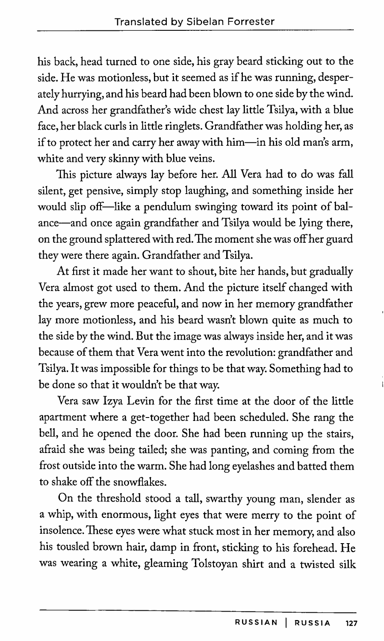his back, head turned to one side, his gray beard sticking out to the side. He was motionless, but it seemed as if he was running, desperately hurrying, and his beard had been blown to one side by the wind. And across her grandfather's wide chest lay little Tsilya, with a blue face, her black curls in little ringlets. Grandfather was holding her, as if to protect her and carry her away with him-in his old man's arm, white and very skinny with blue veins.

This picture always lay before her. All Vera had to do was fall silent, get pensive, simply stop laughing, and something inside her would slip off-like a pendulum swinging toward its point of balance-and once again grandfather and Tsilya would be lying there, on the ground splattered with red. The moment she was off her guard they were there again. Grandfather and Tsilya.

At first it made her want to shout, bite her hands, but gradually Vera almost got used to them. And the picture itself changed with the years, grew more peaceful, and now in her memory grandfather lay more motionless, and his beard wasn't blown quite as much to the side by the wind. But the image was always inside her, and it was because of them that Vera went into the revolution: grandfather and Tsilya. It was impossible for things to be that way. Something had to be done so that it wouldn't be that way.

Vera saw Izya Levin for the first time at the door of the little apartment where a get-together had been scheduled. She rang the bell, and he opened the door. She had been running up the stairs, afraid she was being tailed; she was panting, and coming from the frost outside into the warm. She had long eyelashes and batted them to shake off the snowflakes.

On the threshold stood a tall, swarthy young man, slender as a whip, with enormous, light eyes that were merry to the point of insolence. These eyes were what stuck most in her memory, and also his tousled brown hair, damp in front, sticking to his forehead. He was wearing a white, gleaming Tolstoyan shirt and a twisted silk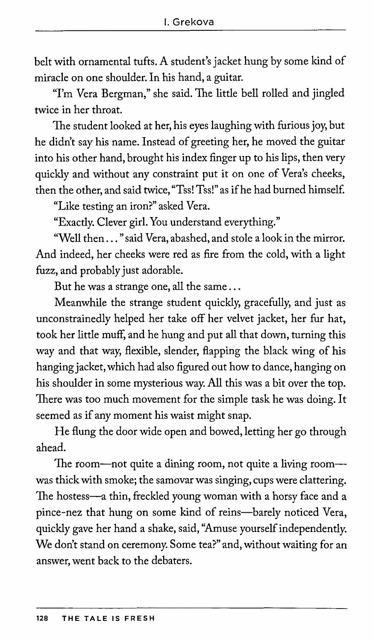belt with ornamental tufts. A student's jacket hung by some kind of miracle on one shoulder. In his hand, a guitar.

"I'm Vera Bergman," she said. The little bell rolled and jingled twice in her throat.

The student looked at her, his eyes laughing with furious joy, but he didn't say his name. Instead of greeting her, he moved the guitar into his other hand, brought his index finger up to his lips, then very quickly and without any constraint put it on one of Vera's cheeks, then the other, and said twice, "Tss! Tss!" as if he had burned himself.

"Like testing an iron?" asked Vera.

"Exactly. Clever girl. You understand everything."

"Well then ... "said Vera, abashed, and stole a look in the mirror. And indeed, her cheeks were red as fire from the cold, with a light fuzz, and probably just adorable.

But he was a strange one, all the same ...

Meanwhile the strange student quickly, gracefully, and just as unconstrainedly helped her take off her velvet jacket, her fur hat, took her little muff, and he hung and put all that down, turning this way and that way, flexible, slender, flapping the black wing of his hanging jacket, which had also figured out how to dance, hanging on his shoulder in some mysterious way. All this was a bit over the top. There was too much movement for the simple task he was doing. It seemed as if any moment his waist might snap.

He flung the door wide open and bowed, letting her go through ahead.

The room-not quite a dining room, not quite a living room--was thick with smoke; the samovar was singing, cups were clattering. The hostess-a thin, freckled young woman with a horsy face and a pince-nez that hung on some kind of reins-barely noticed Vera, quickly gave her hand a shake, said, "Amuse yourself independently. We don't stand on ceremony. Some tea?" and, without waiting for an answer, went back to the debaters.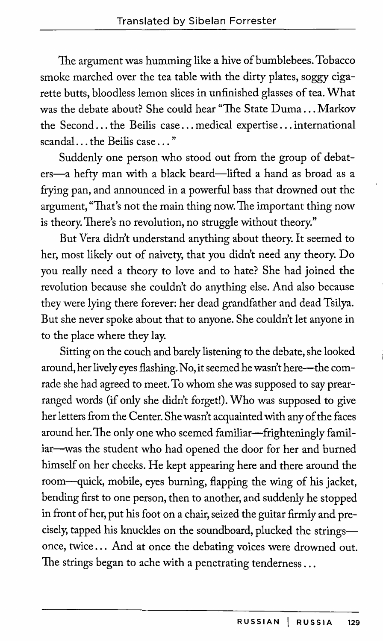The argument was humming like a hive of bumblebees. Tobacco smoke marched over the tea table with the dirty plates, soggy cigarette butts, bloodless lemon slices in unfinished glasses of tea. What was the debate about? She could hear "The State Duma ... Markov the Second ... the Beilis case ... medical expertise ... international scandal ... the Beilis case ... "

Suddenly one person who stood out from the group of debaters-a hefty man with a black beard-lifted a hand as broad as a frying pan, and announced in a powerful bass that drowned out the argument, "That's not the main thing now. The important thing now is theory. There's no revolution, no struggle without theory."

But Vera didn't understand anything about theory. It seemed to her, most likely out of naivety, that you didn't need any theory. Do you really need a theory to love and to hate? She had joined the revolution because she couldn't do anything else. And also because they were lying there forever: her dead grandfather and dead Tsilya. But she never spoke about that to anyone. She couldn't let anyone in to the place where they lay.

Sitting on the couch and barely listening to the debate, she looked around, her lively eyes flashing. No, it seemed he wasn't here--the comrade she had agreed to meet. To whom she was supposed to say prearranged words (if only she didn't forget!). Who was supposed to give her letters from the Center. She wasn't acquainted with any of the faces around her. The only one who seemed familiar-frighteningly familiar-was the student who had opened the door for her and burned himself on her cheeks. He kept appearing here and there around the room-quick, mobile, eyes burning, flapping the wing of his jacket, bending first to one person, then to another, and suddenly he stopped in front of her, put his foot on a chair, seized the guitar firmly and precisely, tapped his knuckles on the soundboard, plucked the stringsonce, twice ... And at once the debating voices were drowned out. The strings began to ache with a penetrating tenderness ...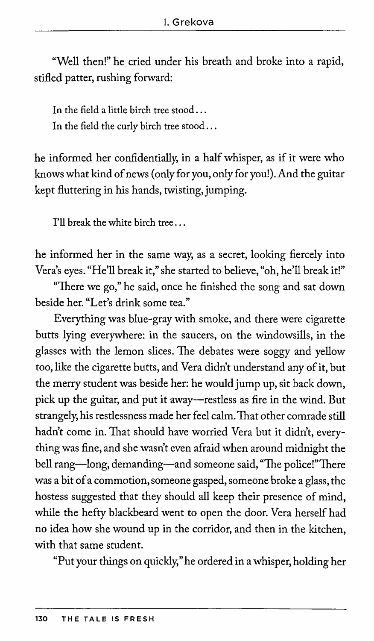"Well then!" he cried under his breath and broke into a rapid, stifled patter, rushing forward:

In the field a little birch tree stood... In the field the curly birch tree stood ...

he informed her confidentially, in a half whisper, as if it were who knows what kind of news ( only for you, only for you!). And the guitar kept fluttering in his hands, twisting, jumping.

I'll break the white birch tree ...

he informed her in the same way, as a secret, looking fiercely into Vera's eyes. "He'll break it," she started to believe, "oh, he'll break it!"

"There we go," he said, once he finished the song and sat down beside her. "Let's drink some tea."

Everything was blue-gray with smoke, and there were cigarette butts lying everywhere: in the saucers, on the windowsills, in the glasses with the lemon slices. The debates were soggy and yellow too, like the cigarette butts, and Vera didn't understand any of it, but the merry student was beside her: he would jump up, sit back down, pick up the guitar, and put it away-restless as fire in the wind. But strangely, his restlessness made her feel calm. That other comrade still hadn't come in. That should have worried Vera but it didn't, everything was fine, and she wasn't even afraid when around midnight the bell rang-long, demanding-and someone said, "The police!" There was a bit of a commotion, someone gasped, someone broke a glass, the hostess suggested that they should all keep their presence of mind, while the hefty blackbeard went to open the door. Vera herself had no idea how she wound up in the corridor, and then in the kitchen, with that same student.

"Put your things on quickly," he ordered in a whisper, holding her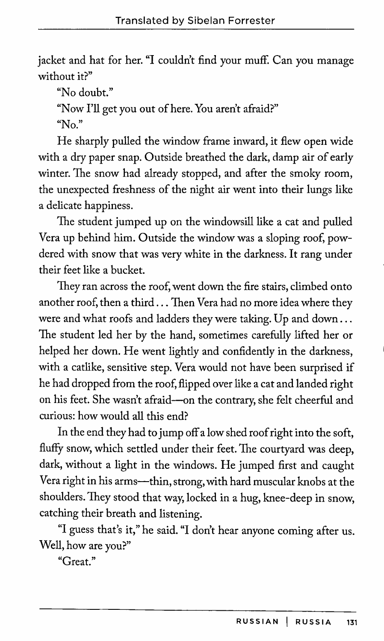jacket and hat for her. "I couldn't find your muff. Can you manage without it?"

"No doubt."

"Now I'll get you out of here. You aren't afraid?"

"No."

He sharply pulled the window frame inward, it flew open wide with a dry paper snap. Outside breathed the dark, damp air of early winter. The snow had already stopped, and after the smoky room, the unexpected freshness of the night air went into their lungs like a delicate happiness.

The student jumped up on the windowsill like a cat and pulled Vera up behind him. Outside the window was a sloping roof, powdered with snow that was very white in the darkness. It rang under their feet like a bucket.

They ran across the roof, went down the fire stairs, climbed onto another roof, then a third ... Then Vera had no more idea where they were and what roofs and ladders they were taking. Up and down ... The student led her by the hand, sometimes carefully lifted her or helped her down. He went lightly and confidently in the darkness, with a catlike, sensitive step. Vera would not have been surprised if he had dropped from the roof, flipped over like a cat and landed right on his feet. She wasn't afraid-on the contrary, she felt cheerful and curious: how would all this end?

In the end they had to jump off a low shed roof right into the soft, fluffy snow, which settled under their feet. The courtyard was deep, dark, without a light in the windows. He jumped first and caught Vera right in his arms---thin, strong, with hard muscular knobs at the shoulders. They stood that way, locked in a hug, knee-deep in snow, catching their breath and listening.

"I guess that's it," he said. "I don't hear anyone coming after us. Well, how are you?"

"Great."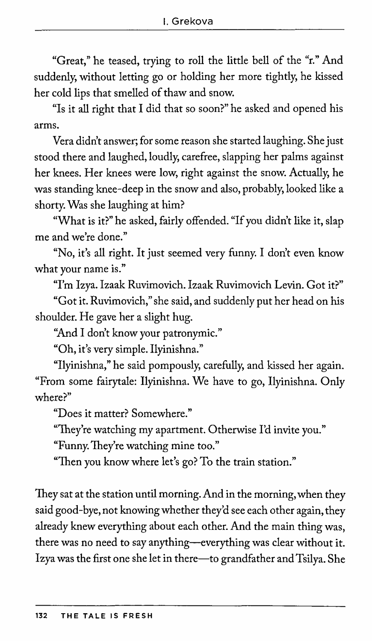"Great," he teased, trying to roll the little bell of the "r." And suddenly, without letting go or holding her more tightly, he kissed her cold lips that smelled of thaw and snow.

"Is it all right that I did that so soon?" he asked and opened his arms.

Vera didn't answer; for some reason she started laughing. She just stood there and laughed, loudly, carefree, slapping her palms against her knees. Her knees were low, right against the snow. Actually, he was standing knee-deep in the snow and also, probably, looked like a shorty. Was she laughing at him?

"What is it?" he asked, fairly offended. "If you didn't like it, slap me and we're done."

"No, it's all right. It just seemed very funny. I don't even know what your name is."

"I'm Izya. Izaak Ruvimovich. Izaak Ruvimovich Levin. Got it?"

"Got it. Ruvimovich," she said, and suddenly put her head on his shoulder. He gave her a slight hug.

"And I don't know your patronymic."

"Oh, it's very simple. Ilyinishna."

"Ilyinishna," he said pompously, carefully, and kissed her again. "From some fairytale: Ilyinishna. We have to go, Ilyinishna. Only where?"

"Does it matter? Somewhere."

"They're watching my apartment. Otherwise I'd invite you."

"Funny. They're watching mine too."

"Then you know where let's go? To the train station."

They sat at the station until morning. And in the morning, when they said good-bye, not knowing whether they'd see each other again, they already knew everything about each other. And the main thing was, there was no need to say anything-everything was clear without it. Izya was the first one she let in there-to grandfather and Tsilya. She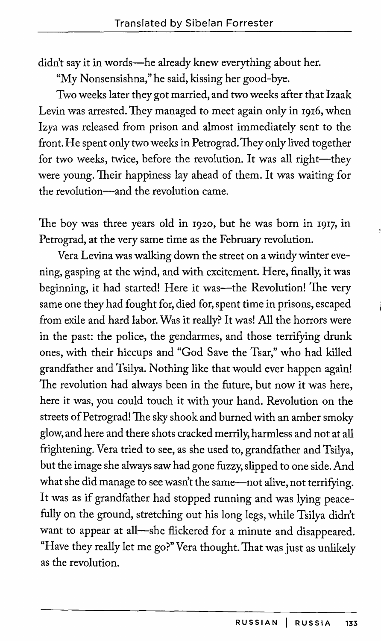didn't say it in words-he already knew everything about her.

"My Nonsensishna," he said, kissing her good-bye.

Two weeks later they got married, and two weeks after that Izaak Levin was arrested. They managed to meet again only in 1916, when Izya was released from prison and almost immediately sent to the front. He spent only two weeks in Petrograd. They only lived together for two weeks, twice, before the revolution. It was all right-they were young. Their happiness lay ahead of them. It was waiting for the revolution---and the revolution came.

The boy was three years old in 1920, but he was born in 1917, in Petrograd, at the very same time as the February revolution.

Vera Levina was walking down the street on a windy winter evening, gasping at the wind, and with excitement. Here, finally, it was beginning, it had started! Here it was--the Revolution! The very same one they had fought for, died for, spent time in prisons, escaped from exile and hard labor. Was it really? It was! All the horrors were in the past: the police, the gendarmes, and those terrifying drunk ones, with their hiccups and "God Save the Tsar," who had killed grandfather and Tsilya. Nothing like that would ever happen again! The revolution had always been in the future, but now it was here, here it was, you could touch it with your hand. Revolution on the streets of Petrograd! The sky shook and burned with an amber smoky glow, and here and there shots cracked merrily, harmless and not at all frightening. Vera tried to see, as she used to, grandfather and Tsilya, but the image she always saw had gone fuzzy, slipped to one side. And what she did manage to see wasn't the same-not alive, not terrifying. It was as if grandfather had stopped running and was lying peacefully on the ground, stretching out his long legs, while Tsilya didn't want to appear at all-she flickered for a minute and disappeared. "Have they really let me go?" Vera thought. That was just as unlikely as the revolution.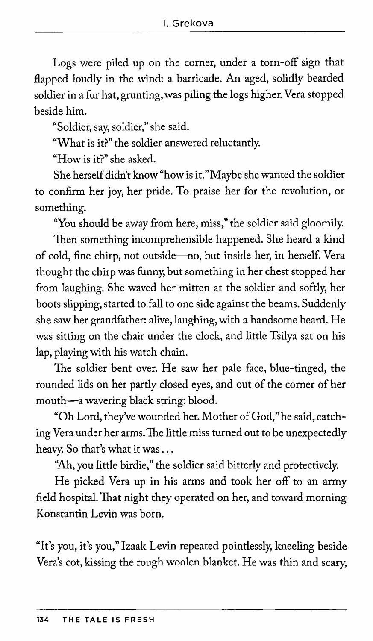Logs were piled up on the corner, under a torn-off sign that flapped loudly in the wind: a barricade. An aged, solidly bearded soldier in a fur hat, grunting, was piling the logs higher. Vera stopped beside him.

"Soldier, say, soldier," she said.

"What is it?" the soldier answered reluctantly.

"How is it?" she asked.

She herself didn't know"how is it."Maybe she wanted the soldier to confirm her joy, her pride. To praise her for the revolution, or something.

"You should be away from here, miss," the soldier said gloomily.

Then something incomprehensible happened. She heard a kind of cold, fine chirp, not outside-no, but inside her, in herself. Vera thought the chirp was funny, but something in her chest stopped her from laughing. She waved her mitten at the soldier and softly, her boots slipping, started to fall to one side against the beams. Suddenly she saw her grandfather: alive, laughing, with a handsome beard. He was sitting on the chair under the clock, and little Tsilya sat on his lap, playing with his watch chain.

The soldier bent over. He saw her pale face, blue-tinged, the rounded lids on her partly closed eyes, and out of the corner of her mouth-a wavering black string: blood.

"Oh Lord, they've wounded her. Mother of God," he said, catching Vera under her arms. The little miss turned out to be unexpectedly heavy. So that's what it was ...

"Ah, you little birdie," the soldier said bitterly and protectively.

He picked Vera up in his arms and took her off to an army field hospital. That night they operated on her, and toward morning Konstantin Levin was born.

"It's you, it's you," Izaak Levin repeated pointlessly, kneeling beside Vera's cot, kissing the rough woolen blanket. He was thin and scary,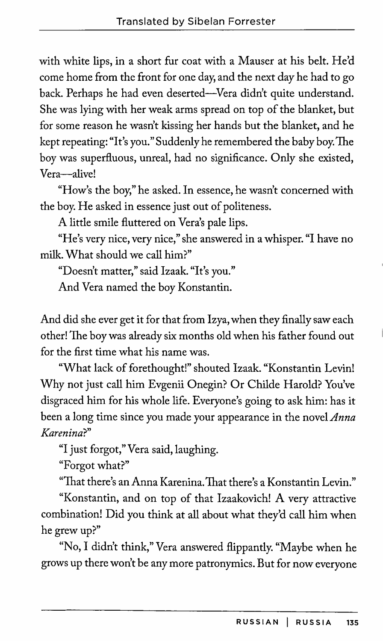with white lips, in a short fur coat with a Mauser at his belt. He'd come home from the front for one day, and the next day he had to go back. Perhaps he had even deserted-Vera didn't quite understand. She was lying with her weak arms spread on top of the blanket, but for some reason he wasn't kissing her hands but the blanket, and he kept repeating: "It's you." Suddenly he remembered the baby boy. The boy was superfluous, unreal, had no significance. Only she existed, Vera-alive!

"How's the boy," he asked. In essence, he wasn't concerned with the boy. He asked in essence just out of politeness.

A little smile fluttered on Vera's pale lips.

"He's very nice, very nice," she answered in a whisper. "I have no milk. What should we call him?"

"Doesn't matter," said Izaak. "It's you."

And Vera named the boy Konstantin.

And did she ever get it for that from Izya, when they finally saw each other! The boy was already six months old when his father found out for the first time what his name was.

"What lack of forethought!" shouted Izaak. "Konstantin Levin! Why not just call him Evgenii Onegin? Or Childe Harold? You've disgraced him for his whole life. Everyone's going to ask him: has it been a long time since you made your appearance in the novel *Anna Karenina?"* 

"I just forgot," Vera said, laughing.

"Forgot what?"

"That there's an Anna Karenina. That there's a Konstantin Levin."

"Konstantin, and on top of that Izaakovich! A very attractive combination! Did you think at all about what they'd call him when he grew up?"

"No, I didn't think," Vera answered flippantly. "Maybe when he grows up there won't be any more patronymics. But for now everyone